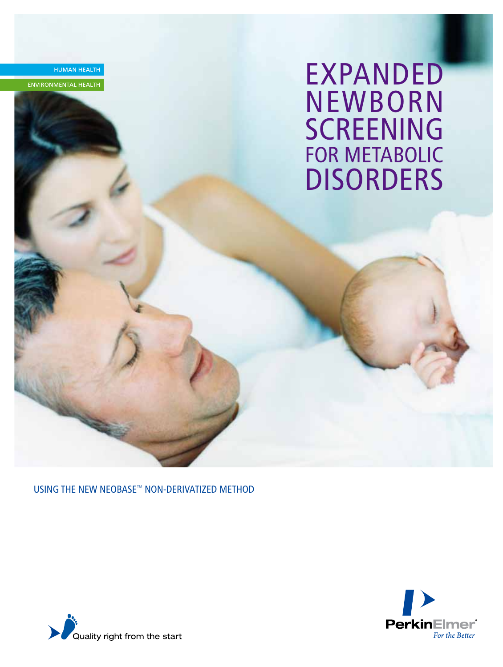**EXPANDED NEWBORN SCREENING** FOR METABOLIC **DISORDERS** 

USING THE NEW NEOBASE™ NON-DERIVATIZED METHOD



HUMAN HEALTH

ENVIRONMENTAL HEALTH

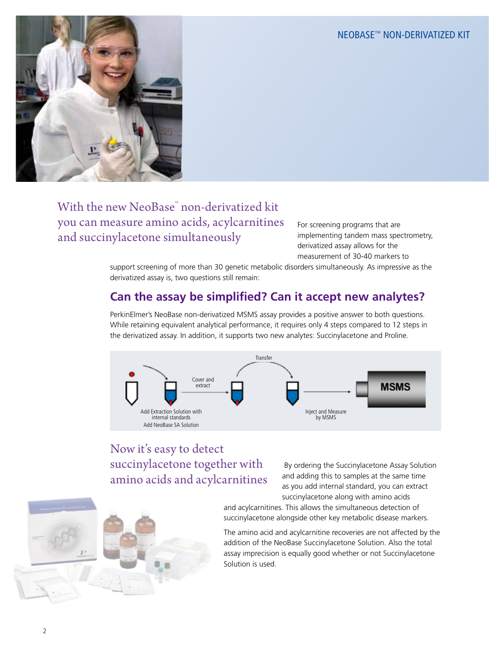

## With the new NeoBase™ non-derivatized kit you can measure amino acids, acylcarnitines and succinylacetone simultaneously

For screening programs that are implementing tandem mass spectrometry, derivatized assay allows for the measurement of 30-40 markers to

support screening of more than 30 genetic metabolic disorders simultaneously. As impressive as the derivatized assay is, two questions still remain:

## **Can the assay be simplified? Can it accept new analytes?**

PerkinElmer's NeoBase non-derivatized MSMS assay provides a positive answer to both questions. While retaining equivalent analytical performance, it requires only 4 steps compared to 12 steps in the derivatized assay. In addition, it supports two new analytes: Succinylacetone and Proline.



# Now it's easy to detect succinylacetone together with amino acids and acylcarnitines

 By ordering the Succinylacetone Assay Solution and adding this to samples at the same time as you add internal standard, you can extract succinylacetone along with amino acids

and acylcarnitines. This allows the simultaneous detection of succinylacetone alongside other key metabolic disease markers.

The amino acid and acylcarnitine recoveries are not affected by the addition of the NeoBase Succinylacetone Solution. Also the total assay imprecision is equally good whether or not Succinylacetone Solution is used.

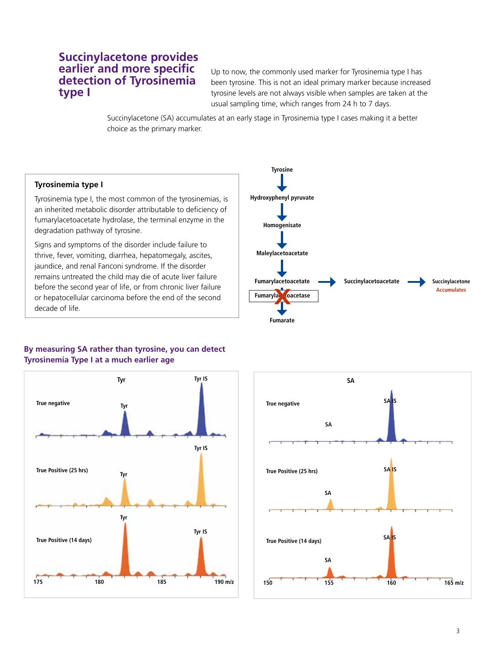### **Succinylacetone provides earlier and more specific detection of Tyrosinemia type I**

Up to now, the commonly used marker for Tyrosinemia type I has been tyrosine. This is not an ideal primary marker because increased tyrosine levels are not always visible when samples are taken at the usual sampling time, which ranges from 24 h to 7 days.

Succinylacetone (SA) accumulates at an early stage in Tyrosinemia type I cases making it a better choice as the primary marker.

### **Tyrosinemia type I**

Tyrosinemia type I, the most common of the tyrosinemias, is an inherited metabolic disorder attributable to deficiency of fumarylacetoacetate hydrolase, the terminal enzyme in the degradation pathway of tyrosine.

Signs and symptoms of the disorder include failure to thrive, fever, vomiting, diarrhea, hepatomegaly, ascites, jaundice, and renal Fanconi syndrome. If the disorder remains untreated the child may die of acute liver failure before the second year of life, or from chronic liver failure or hepatocellular carcinoma before the end of the second decade of life.



### **By measuring SA rather than tyrosine, you can detect Tyrosinemia Type I at a much earlier age**